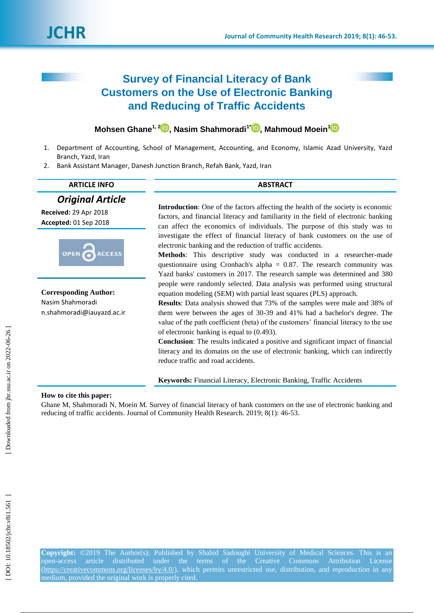# **Survey of Financial Literacy of Bank Customers on the Use of Electronic Banking and Reducing of Traffic Accidents**

# **Mohsen Ghane 1, [2](https://orcid.org/0000-0002-5007-2980) , Nasim Shahmoradi 1 \* [,](https://orcid.org/0000-0002-1430-553X) Mahmoud Moein 1**

- 1. Department of Accounting, School of Management, Accounting, and Economy, Islamic Azad University, Yazd Branch, Yazd, Iran
- 2. Bank Assistant Manager, Danesh Junction Branch, Refah Bank, Yazd, Iran

| <b>ARTICLE INFO</b>                                                            | <b>ABSTRACT</b>                                                                                                                                                                                                                                                                                                                                                                                                                                                                                                                                                                                                                                                                 |  |  |
|--------------------------------------------------------------------------------|---------------------------------------------------------------------------------------------------------------------------------------------------------------------------------------------------------------------------------------------------------------------------------------------------------------------------------------------------------------------------------------------------------------------------------------------------------------------------------------------------------------------------------------------------------------------------------------------------------------------------------------------------------------------------------|--|--|
| <b>Original Article</b><br>Received: 29 Apr 2018<br>Accepted: 01 Sep 2018      | <b>Introduction:</b> One of the factors affecting the health of the society is economic<br>factors, and financial literacy and familiarity in the field of electronic banking<br>can affect the economics of individuals. The purpose of this study was to                                                                                                                                                                                                                                                                                                                                                                                                                      |  |  |
| OPEN<br><b>ACCESS</b>                                                          | investigate the effect of financial literacy of bank customers on the use of<br>electronic banking and the reduction of traffic accidents.<br><b>Methods:</b> This descriptive study was conducted in a researcher-made<br>questionnaire using Cronbach's alpha = $0.87$ . The research community was<br>Yazd banks' customers in 2017. The research sample was determined and 380                                                                                                                                                                                                                                                                                              |  |  |
| <b>Corresponding Author:</b><br>Nasim Shahmoradi<br>n.shahmoradi@iauyazd.ac.ir | people were randomly selected. Data analysis was performed using structural<br>equation modeling (SEM) with partial least squares (PLS) approach.<br><b>Results:</b> Data analysis showed that 73% of the samples were male and 38% of<br>them were between the ages of 30-39 and 41% had a bachelor's degree. The<br>value of the path coefficient (beta) of the customers' financial literacy to the use<br>of electronic banking is equal to $(0.493)$ .<br><b>Conclusion:</b> The results indicated a positive and significant impact of financial<br>literacy and its domains on the use of electronic banking, which can indirectly<br>reduce traffic and road accidents. |  |  |

**Keywords:** Financial Literacy, Electronic Banking, Traffic Accidents

# **How to cite this paper:**

Ghane M, Shahmoradi N, Moein M. Survey of financial literacy of bank customers on the use of electronic banking and reducing of traffic accidents. Journal of Community Health Research. 2019; 8(1): 46-53.

[Downloaded from jhr.ssu.ac.ir on 2022-06-26]

**Copyright:** ©201 9 The Author(s); Published by Shahid Sadoughi University of Medical Sciences. This is an open -access article distributed under the terms of the Creative Commons Attribution License [\(https://creativecommons.org/licenses/by/4.0/\)](https://creativecommons.org/licenses/by/4.0/), which permits unrestricted use, distribution, and reproduction in any medium, provided the original work is properly cited.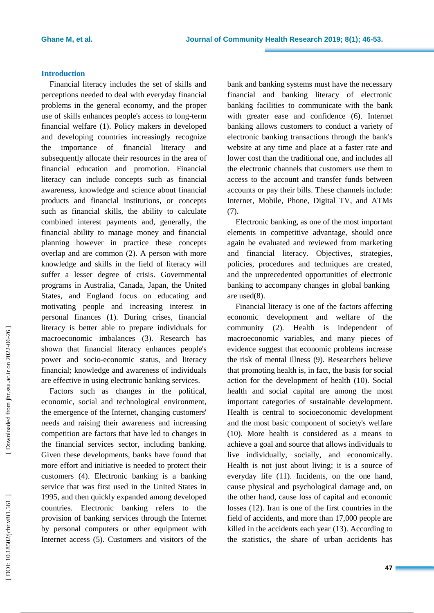## **Introduction**

Financial literacy includes the set of skills and perceptions needed to deal with everyday financial problems in the general economy, and the proper use of skills enhances people's access to long -term financial welfare ( 1 ). Policy makers in developed and developing countries increasingly recognize the importance of financial literacy and subsequently allocat e their resources in the area of financial education and promotion. Financial literacy can include concepts such as financial awareness, knowledge and science about financial products and financial institutions, or concepts such as financial skills, the ability to calculate combined interest payments and, generally, the financial ability to manage money and financial planning however in practice these concepts overlap and are common ( 2 ) . A person with more knowledge and skills in the field of literacy will suffer a lesser degree of crisis. Governmental programs in Australia, Canada, Japan, the United States , and England focus on educating and motivating people and increasing interest in personal finances ( 1 ). During crises, financial literacy is better able to prepare individuals for macroeconomic imbalances ( 3 ) . Research has shown that financial literacy enhances people's power and socio -economic status, and literacy financial; knowledge and awareness of individuals are effective in using electronic banking services .

Factors such as changes in the political, economic, social and technological environment, the emergence of the Internet, changing customers' needs and raising their awareness and increasing competition are factors that have led to changes in the financial services sector, including banking. Given these developments, banks have found that more effort and initiative is needed to protect their customers ( 4 ) . Electronic banking is a banking service that was first used in the United States in 1995 , and then quickly expanded among developed countries. Electronic banking refers to the provision of banking services through the Internet by personal computers or other equipment with Internet access ( 5 ). Customers and visitors of the bank and banking systems must have the necessary financial and banking literacy of electronic banking facilities to communicate with the bank with greater ease and confidence (6). Internet banking allows customers to conduct a variety of electronic banking transactions through the bank's website at any time and place at a faster rate and lower cost than the traditional one, and includes all the electronic channels that customers use them to access to the account and transfer funds between accounts or pay their bills. These channels include: Internet, Mobile, Phone, Digital TV, and ATMs (7).

Electronic banking, as one of the most important elements in competitive advantage, should once again be evaluated and reviewed from marketing and financial literacy. Objectives, strategies, policies, procedures and techniques are created, and the unprecedented opportunities of electronic banking to accompany changes in global banking are used ( 8 ) .

Financial literacy is one of the factors affecting economic development and welfare of the community ( 2 ). Health is independent of macroeconomic variables, and many pieces of evidenc e suggest that economic problems increase the risk of mental illness ( 9 ). Researchers believe that promoting health is , in fact , the basis for social action for the development of health (10 ). Social health and social capital are among the most important categories of sustainable development. Health is central to socioeconomic development and the most basic component of society's welfare (10). More health is considered as a means to achieve a goal and source that allows individuals to live individually, socially, and economically. Health is not just about living ; it is a source of everyday life (11 ). Incidents, on the one hand, cause physical and psychological damage and, on the other hand, cause loss of capital and economic losses (12 ). Iran is one of the first countries in the field of accidents, and more than 17,000 people are killed in the accidents each year (13 ). According to the statistics, the share of urban accidents has

[Downloaded from jhr.ssu.ac.ir on 2022-06-26]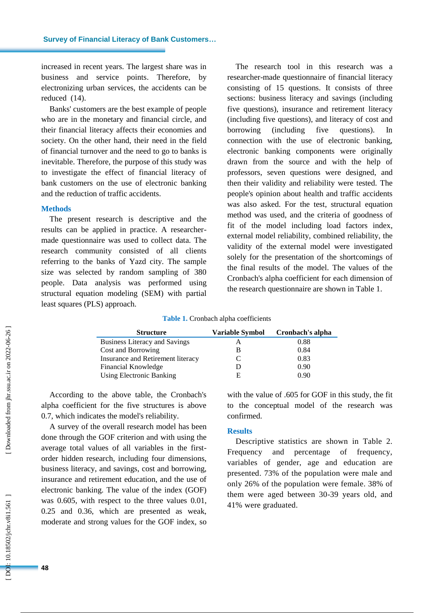increased in recent years. The largest share was in business and service points. Therefore, by electronizing urban services , the accidents can be reduced (14 ) .

Banks' customers are the best example of people who are in the monetary and financial circle, and their financial literacy affects their economies and society. On the other hand, their need in the field of financial turnover and the need to go to banks is inevitable . Therefore, the purpose of this study was to investigate the effect of financial literacy of bank customers on the use of electronic banking and the reduction of traffic accidents .

#### **Method s**

The present research is descriptive and the results can be applied in practice. A researcher made questionnaire was used to collect data. The research community consisted of all clients referring to the banks of Yazd city. The sample size was selected by random sampling of 380 people. Data analysis was performed using structural equation modeling (SEM) with partial least squares (PLS) approach.

The research tool in this research was a researcher -made questionnaire of financial literacy consisting of 15 questions. It consists of three sections: business literacy and savings (including five questions), insurance and retirement literacy (including five questions), and literacy of cost and borrowing (including five questions). ). In connection with the use of electronic banking, electronic banking components were originally drawn from the source and with the help of professors, seven questions were designed , and then their validity and reliability were tested. The people's opinion about health and traffic accidents was also asked. For the test, structural equation method was used , and the criteria of goodness of fit of the model including load factors index, external model reliability, combined reliability, the validity of the external model were investigated solely for the presentation of the shortcomings of the final results of the model. The values of the Cronbach's alpha coefficient for each dimension of the research questionnaire are shown in Table 1.

**Table 1 .** Cronbach alpha coefficients

| <b>Structure</b>                     | Variable Symbol | Cronbach's alpha |  |
|--------------------------------------|-----------------|------------------|--|
| <b>Business Literacy and Savings</b> |                 | 0.88             |  |
| Cost and Borrowing                   |                 | 0.84             |  |
| Insurance and Retirement literacy    |                 | 0.83             |  |
| Financial Knowledge                  |                 | 0.90             |  |
| <b>Using Electronic Banking</b>      | E               | 0.90             |  |

According to the above table, the Cronbach's alpha coefficient for the five structures is above 0.7, which indicates the model's reliability.

A survey of the overall research model has been done through the GOF criterion and with using the average total values of all variables in the first order hidden research, including four dimensions, business literacy , and savings, cost and borrowing, insurance and retirement education, and the use of electronic banking. The value of the index (GOF) was 0.605, with respect to the three values 0.01, 0.25 and 0.36, which are presented as weak, moderate and strong values for the GOF index, so

with the value of .605 for GOF in this study, the fit to the conceptual model of the research was confirmed.

#### **Results**

Descriptive statistics are shown in Table 2. Frequency and percentage of frequency, variables of gender, age and education are presented. 73% of the population were male and only 26% of the population were female. 38% of them were aged between 30 -39 years old , and 41% were graduated.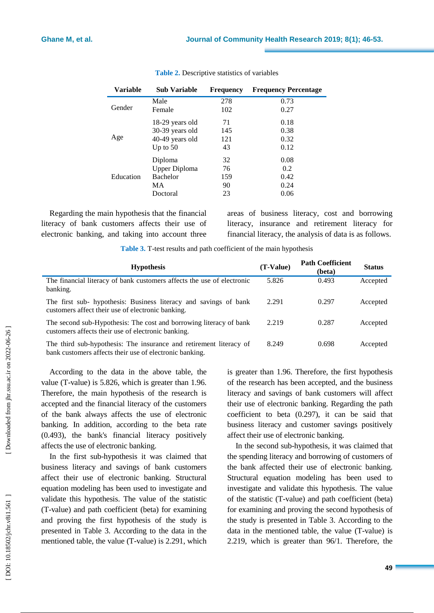| Variable  | <b>Sub Variable</b> | Frequency | <b>Frequency Percentage</b> |
|-----------|---------------------|-----------|-----------------------------|
| Gender    | Male                | 278       | 0.73                        |
|           | Female              | 102       | 0.27                        |
| Age       | 18-29 years old     | 71        | 0.18                        |
|           | 30-39 years old     | 145       | 0.38                        |
|           | 40-49 years old     | 121       | 0.32                        |
|           | Up to $50$          | 43        | 0.12                        |
| Education | Diploma             | 32        | 0.08                        |
|           | Upper Diploma       | 76        | 0.2                         |
|           | <b>Bachelor</b>     | 159       | 0.42                        |
|           | MA                  | 90        | 0.24                        |
|           | Doctoral            | 23        | 0.06                        |

# **Table 2 .** Descriptive statistics of variables

Regarding the main hypothesis that the financial literacy of bank customers affects their use of electronic banking, and taking into account three areas of business literacy, cost and borrowing literacy, insurance and retirement literacy for financial literacy, the analysis of data is as follows.

Table 3. T-test results and path coefficient of the main hypothesis

| <b>Hypothesis</b>                                                                                                             | $(T-Value)$ | <b>Path Coefficient</b><br>(beta) | <b>Status</b> |
|-------------------------------------------------------------------------------------------------------------------------------|-------------|-----------------------------------|---------------|
| The financial literacy of bank customers affects the use of electronic<br>banking.                                            | 5.826       | 0.493                             | Accepted      |
| The first sub- hypothesis: Business literacy and savings of bank<br>customers affect their use of electronic banking.         | 2.291       | 0.297                             | Accepted      |
| The second sub-Hypothesis: The cost and borrowing literacy of bank<br>customers affects their use of electronic banking.      | 2.219       | 0.287                             | Accepted      |
| The third sub-hypothesis: The insurance and retirement literacy of<br>bank customers affects their use of electronic banking. | 8.249       | 0.698                             | Accepted      |

According to the data in the above table, the value (T -value) is 5.826, which is greater than 1.96. Therefore, the main hypothesis of the research is accepted and the financial literacy of the customers of the bank always affects the use of electronic banking. In addition, according to the beta rate (0.493), the bank's financial literacy positively affects the use of electronic banking.

In the first sub -hypothesis it was claimed that business literacy and savings of bank customers affect their use of electronic banking. Structural equation modeling has been used to investigate and validate this hypothesis. The value of the statistic (T-value) and path coefficient (beta) for examining and proving the first hypothesis of the study is presented in Table 3. According to the data in the mentioned table, the value (T -value) is 2.291, which is greater than 1.96. Therefore, the first hypothesis of the research has been accepted , and the business literacy and savings of bank customers will affect their use of electronic banking. Regarding the path coefficient to beta (0.297), it can be said that business literacy and customer savings positively affect their use of electronic banking.

In the second sub -hypothesis, it was claimed that the spending literacy and borrowing of customers of the bank affected their use of electronic banking. Structural equation modeling has been used to investigate and validate this hypothesis. The value of the statistic (T -value) and path coefficient (beta) for examining and proving the second hypothesis of the study is presented in Table 3. According to the data in the mentioned table, the value (T -value) is 2.219, which is greater than 96/1. Therefore, the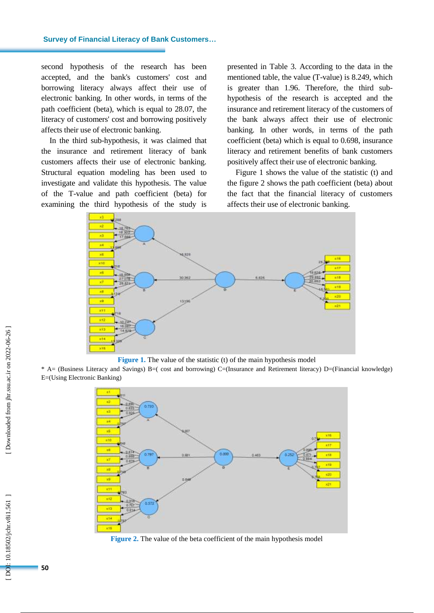second hypothesis of the research has been accepted , and the bank's customers' cost and borrowing literacy always affect their use of electronic banking. In other words, in terms of the path coefficient (beta), which is equal to 28.07, the literacy of customers' cost and borrowing positively affects their use of electronic banking.

In the third sub -hypothesis , it was claimed that the insurance and retirement literacy of bank customers affects their use of electronic banking. Structural equation modeling has been used to investigate and validate this hypothesis. The value of the T -value and path coefficient (beta) for examining the third hypothesis of the study is

presented in Table 3. According to the data in the mentioned table, the value (T -value) is 8.249, which is greater than 1.96. Therefore, the third sub hypothesis of the research is accepted and the insurance and retirement literacy of the customers of the bank always affect their use of electronic banking. In other words, in terms of the path coefficient (beta) which is equal to 0.698, insurance literacy and retirement benefits of bank customers positively affect their use of electronic banking.

Figure 1 shows the value of the statistic (t) and the figure 2 shows the path coefficient (beta) about the fact that the financial literacy of customers affects their use of electronic banking.



**Figure 1.** The value of the statistic (t) of the main hypothesis model

\* A= (Business Literacy and Savings) B=( cost and borrowing) C=(Insurance and Retirement literacy) D=(Financial knowledge) E=(Using Electronic Banking )



**Figure 2 .** The value of the beta coefficient of the main hypothesis model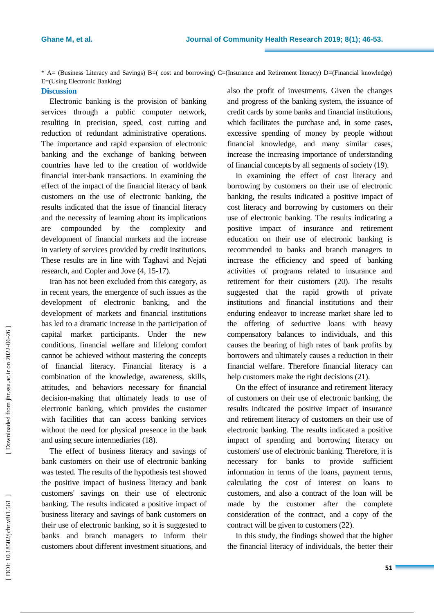\* A= (Business Literacy and Savings) B=( cost and borrowing) C=(Insurance and Retirement literacy) D=(Financial knowledge) E=(Using Electronic Banking)

# **Discussion**

Electronic banking is the provision of banking services through a public computer network, resulting in precision, speed, cost cutting and reduction of redundant administrative operations. The importance and rapid expansion of electronic banking and the exchange of banking between countries have led to the creation of worldwide financial inter -bank transactions. In examining the effect of the impact of the financial literacy of bank customers on the use of electronic banking, the results indicate d that the issue of financial literacy and the necessity of learning about its implications are compounded by the complexity and development of financial markets and the increase in variety of services provided by credit institutions. These results are in line with Taghavi and Nejati research, and Copler and Jove  $(4, 15-17)$ .

Iran has not been excluded from this category, as in recent years, the emergence of such issues as the development of electronic banking, and the development of markets and financial institutions has led to a dramatic increase in the participation of capital market participants. Under the new conditions, financial welfare and lifelong comfort cannot be achieved without mastering the concepts of financial literacy. Financial literacy is a combination of the knowledge, awareness, skills, attitudes , and behaviors necessary for financial decision -making that ultimately leads to use of electronic banking, which provides the customer with facilities that can access banking services without the need for physical presence in the bank and using secure intermediaries (18 ) .

The effect of business literacy and savings of bank customers on their use of electronic banking was tested. The results of the hypothesis test showed the positive impact of business literacy and bank customers' savings on their use of electronic banking. The results indicated a positive impact of business literacy and savings of bank customers on their use of electronic banking, so it is suggested to banks and branch managers to inform their customers about different investment situations, and

also the profit of investments . Given the changes and progress of the banking system, the issuance of credit cards by some banks and financial institutions, which facilitates the purchase and, in some cases, excessive spending of money by people without financial knowledge, and many similar cases, increase the increasing importance of understanding of financial concepts by all segments of society (19 ) .

In examining the effect of cost literacy and borrowing by customers on their use of electronic banking, the results indicated a positive impact of cost literacy and borrowing by customers on their use of electronic banking. The results indicating a positive impact of insurance and retirement education on their use of electronic banking is recommended to banks and branch managers to increase the efficiency and speed of banking activities of programs related to insurance and retirement for their customers (20 ). The results suggested that the rapid growth of private institutions and financial institutions and their enduring endeavor to increase market share led to the offering of seductive loans with heavy compensatory balances to individuals, and this cause s the bearing of high rates of bank profits by borrowers and ultimately causes a reduction in their financial welfare. Therefore financial literacy can help customers make the right decisions (21).

On the effect of insurance and retirement literacy of customers on their use of electronic banking, the results indicate d the positive impact of insurance and retirement literacy of customers on their use of electronic banking. The results indicate d a positive impact of spending and borrowing literacy on customers' use of electronic banking. Therefore, it is necessary for banks to provide sufficient information in terms of the loans, payment terms, calculating the cost of interest on loans to customers, and also a contract of the loan will be made by the customer after the complete consideration of the contract, and a copy of the contract will be given to customers (22 ) .

In this study, the findings showed that the higher the financial literacy of individuals, the better their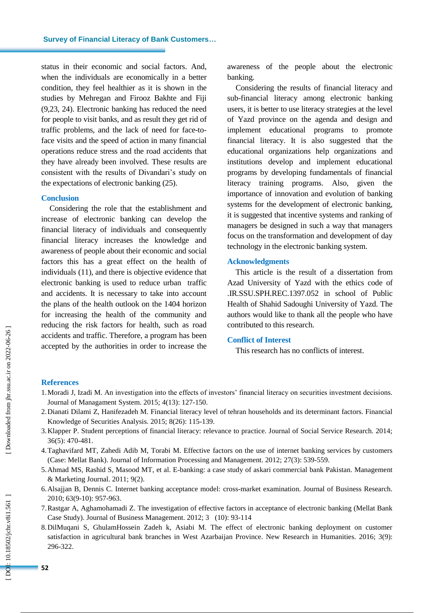status in their economic and social factors. And, when the individuals are economically in a better condition, they feel healthier as it is shown in the studies by Mehregan and Firooz Bakhte and Fiji (9,23, 24). Electronic banking has reduced the need for people to visit banks , and as result they get rid of traffic problems, and the lack of need for face -to face visits and the speed of action in many financial operations reduce stress and the road accidents that they have already been involved. These results are consistent with the results of Divandari's study on the expectations of electronic banking (25 ) .

#### **Conclusion**

Considering the role that the establishment and increase of electronic banking can develop the financial literacy of individuals and consequently financial literacy increases the knowledge and awareness of people about their economic and social factors this has a great effect on the health of individuals (11 ), and there is objective evidence that electronic banking is used to reduce urban traffic and accidents. It is necessary to take into account the plans of the health outlook on the 1404 horizon for increasing the health of the community and reducing the risk factors for health, such as road accidents and traffic. Therefore, a program has been accepted by the authorities in order to increase the

awareness of the people about the electronic banking .

Considering the results of financial literacy and sub -financial literacy among electronic banking users, it is better to use literacy strategies at the level of Yazd province on the agenda and design and implement educational programs to promote financial literacy. It is also suggested that the educational organizations help organizations and institutions develop and implement educational programs by developing fundamentals of financial literacy training programs. Also, given the importance of innovation and evolution of banking systems for the development of electronic banking, it is suggested that incentive systems and ranking of managers be designed in such a way that managers focus on the transformation and development of day technology in the electronic banking system.

#### **Acknowledgment s**

This article is the result of a dissertation from Azad University of Yazd with the ethics code of .IR.SSU.SPH.REC.1397.052 in school of Public Health of Shahid Sadoughi University of Yazd. The authors would like to thank all the people who have contributed to this research .

# **Conflict of Interest**

This research has no conflicts of interest.

#### **References**

- 1.Moradi J, Izadi M. An investigation into the effects of investors' financial literacy on securities investment decisions. Journal of Managament System. 2015; 4(13): 127 - 150.
- 2.Dianati Dilami Z, Hanifezadeh M. Financial literacy level of tehran households and its determinant factors. Financial Knowledge of Securities Analysis. 2015; 8(26): 115-139.
- 3.Klapper P. Student perceptions of financial literacy: relevance to practice. Journal of Social Service Research. 2014; 36(5): 470 - 481.
- 4.Taghavifard MT, Zahedi Adib M, Torabi M. Effective factors on the use of internet banking services by customers (Case: Mellat Bank). Journal of Information Processing and Management. 2012; 27(3): 539 - 559.
- 5.Ahmad MS, Rashid S, Masood MT, et al. E -banking: a case study of askari commercial bank Pakistan. Management & Marketing Journal. 2011; 9(2).
- 6.Alsajjan B, Dennis C. Internet banking acceptance model: cross -market examination. Journal of Business Research. 2010; 63(9 -10): 957 - 963.
- 7.Rastgar A, Aghamohamadi Z. The investigation of effective factors in acceptance of electronic banking (Mellat Bank Case Study). Journal of Business Management. 2012; 3 (10): 93 -114
- 8.DilMuqani S, GhulamHossein Zadeh k, Asiabi M. The effect of electronic banking deployment on customer satisfaction in agricultural bank branches in West Azarbaijan Province. New Research in Humanities. 2016; 3(9): 296 -322.

DOI: 10.18502/jchr.v8i1.561]

**52**